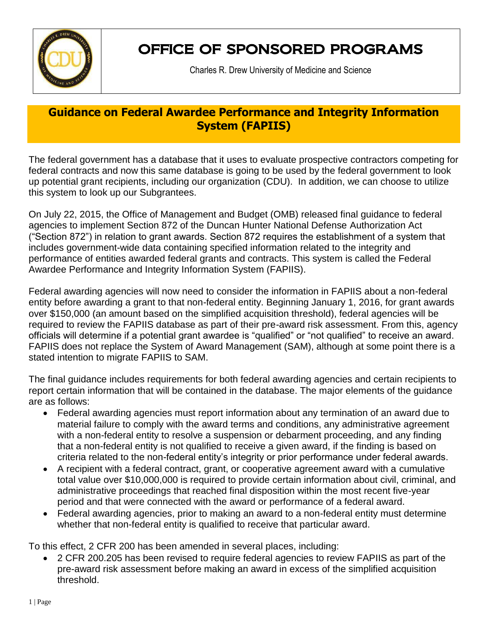

## OFFICE OF SPONSORED PROGRAMS

Charles R. Drew University of Medicine and Science

## **Guidance on Federal Awardee Performance and Integrity Information System (FAPIIS)**

The federal government has a database that it uses to evaluate prospective contractors competing for federal contracts and now this same database is going to be used by the federal government to look up potential grant recipients, including our organization (CDU). In addition, we can choose to utilize this system to look up our Subgrantees.

On July 22, 2015, the Office of Management and Budget (OMB) released final guidance to federal agencies to implement Section 872 of the Duncan Hunter National Defense Authorization Act ("Section 872") in relation to grant awards. Section 872 requires the establishment of a system that includes government-wide data containing specified information related to the integrity and performance of entities awarded federal grants and contracts. This system is called the Federal Awardee Performance and Integrity Information System (FAPIIS).

Federal awarding agencies will now need to consider the information in FAPIIS about a non-federal entity before awarding a grant to that non-federal entity. Beginning January 1, 2016, for grant awards over \$150,000 (an amount based on the simplified acquisition threshold), federal agencies will be required to review the FAPIIS database as part of their pre-award risk assessment. From this, agency officials will determine if a potential grant awardee is "qualified" or "not qualified" to receive an award. FAPIIS does not replace the System of Award Management (SAM), although at some point there is a stated intention to migrate FAPIIS to SAM.

The final guidance includes requirements for both federal awarding agencies and certain recipients to report certain information that will be contained in the database. The major elements of the guidance are as follows:

- Federal awarding agencies must report information about any termination of an award due to material failure to comply with the award terms and conditions, any administrative agreement with a non-federal entity to resolve a suspension or debarment proceeding, and any finding that a non-federal entity is not qualified to receive a given award, if the finding is based on criteria related to the non-federal entity's integrity or prior performance under federal awards.
- A recipient with a federal contract, grant, or cooperative agreement award with a cumulative total value over \$10,000,000 is required to provide certain information about civil, criminal, and administrative proceedings that reached final disposition within the most recent five-year period and that were connected with the award or performance of a federal award.
- Federal awarding agencies, prior to making an award to a non-federal entity must determine whether that non-federal entity is qualified to receive that particular award.

To this effect, 2 CFR 200 has been amended in several places, including:

 2 CFR 200.205 has been revised to require federal agencies to review FAPIIS as part of the pre-award risk assessment before making an award in excess of the simplified acquisition threshold.